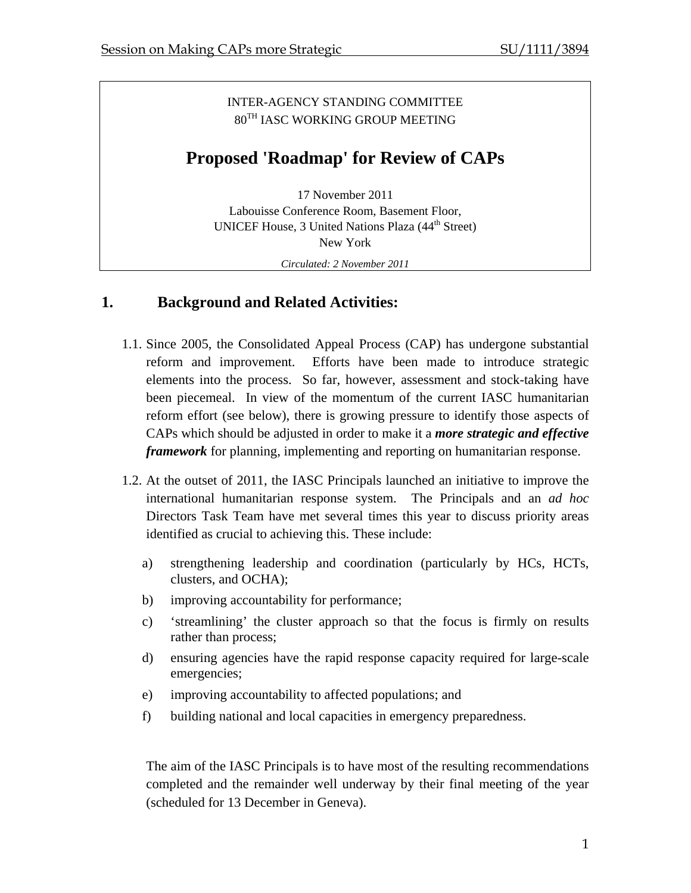#### INTER-AGENCY STANDING COMMITTEE 80TH IASC WORKING GROUP MEETING

# **Proposed 'Roadmap' for Review of CAPs**

17 November 2011 Labouisse Conference Room, Basement Floor, UNICEF House, 3 United Nations Plaza (44<sup>th</sup> Street) New York *Circulated: 2 November 2011* 

## **1. Background and Related Activities:**

- 1.1. Since 2005, the Consolidated Appeal Process (CAP) has undergone substantial reform and improvement. Efforts have been made to introduce strategic elements into the process. So far, however, assessment and stock-taking have been piecemeal. In view of the momentum of the current IASC humanitarian reform effort (see below), there is growing pressure to identify those aspects of CAPs which should be adjusted in order to make it a *more strategic and effective framework* for planning, implementing and reporting on humanitarian response.
- 1.2. At the outset of 2011, the IASC Principals launched an initiative to improve the international humanitarian response system. The Principals and an *ad hoc* Directors Task Team have met several times this year to discuss priority areas identified as crucial to achieving this. These include:
	- a) strengthening leadership and coordination (particularly by HCs, HCTs, clusters, and OCHA);
	- b) improving accountability for performance;
	- c) 'streamlining' the cluster approach so that the focus is firmly on results rather than process;
	- d) ensuring agencies have the rapid response capacity required for large-scale emergencies;
	- e) improving accountability to affected populations; and
	- f) building national and local capacities in emergency preparedness.

The aim of the IASC Principals is to have most of the resulting recommendations completed and the remainder well underway by their final meeting of the year (scheduled for 13 December in Geneva).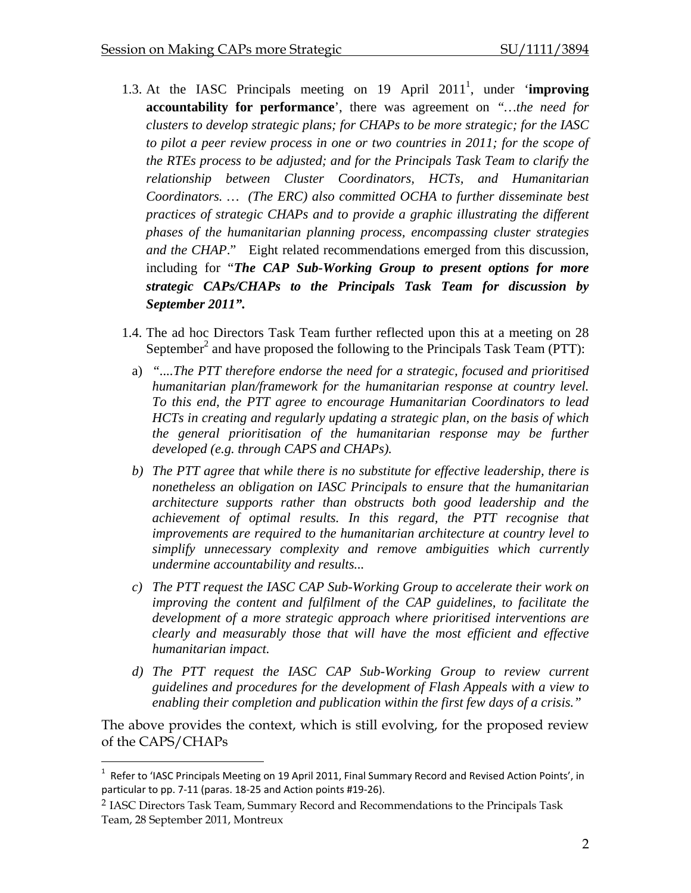- 1.3. At the IASC Principals meeting on 19 April 2011<sup>1</sup>, under '**improving accountability for performance**', there was agreement on *"…the need for clusters to develop strategic plans; for CHAPs to be more strategic; for the IASC to pilot a peer review process in one or two countries in 2011; for the scope of the RTEs process to be adjusted; and for the Principals Task Team to clarify the relationship between Cluster Coordinators, HCTs, and Humanitarian Coordinators. … (The ERC) also committed OCHA to further disseminate best practices of strategic CHAPs and to provide a graphic illustrating the different phases of the humanitarian planning process, encompassing cluster strategies and the CHAP*." Eight related recommendations emerged from this discussion, including for "*The CAP Sub-Working Group to present options for more strategic CAPs/CHAPs to the Principals Task Team for discussion by September 2011".*
- 1.4. The ad hoc Directors Task Team further reflected upon this at a meeting on 28 September<sup>2</sup> and have proposed the following to the Principals Task Team (PTT):
	- a) *"....The PTT therefore endorse the need for a strategic, focused and prioritised humanitarian plan/framework for the humanitarian response at country level. To this end, the PTT agree to encourage Humanitarian Coordinators to lead HCTs in creating and regularly updating a strategic plan, on the basis of which the general prioritisation of the humanitarian response may be further developed (e.g. through CAPS and CHAPs).*
	- *b) The PTT agree that while there is no substitute for effective leadership, there is nonetheless an obligation on IASC Principals to ensure that the humanitarian architecture supports rather than obstructs both good leadership and the achievement of optimal results. In this regard, the PTT recognise that improvements are required to the humanitarian architecture at country level to simplify unnecessary complexity and remove ambiguities which currently undermine accountability and results...*
	- *c) The PTT request the IASC CAP Sub-Working Group to accelerate their work on improving the content and fulfilment of the CAP guidelines, to facilitate the development of a more strategic approach where prioritised interventions are clearly and measurably those that will have the most efficient and effective humanitarian impact.*
	- *d) The PTT request the IASC CAP Sub-Working Group to review current guidelines and procedures for the development of Flash Appeals with a view to enabling their completion and publication within the first few days of a crisis."*

The above provides the context, which is still evolving, for the proposed review of the CAPS/CHAPs

 $\overline{a}$ 

<sup>&</sup>lt;sup>1</sup> Refer to 'IASC Principals Meeting on 19 April 2011, Final Summary Record and Revised Action Points', in particular to pp. 7‐11 (paras. 18‐25 and Action points #19‐26).

<sup>2</sup> IASC Directors Task Team, Summary Record and Recommendations to the Principals Task Team, 28 September 2011, Montreux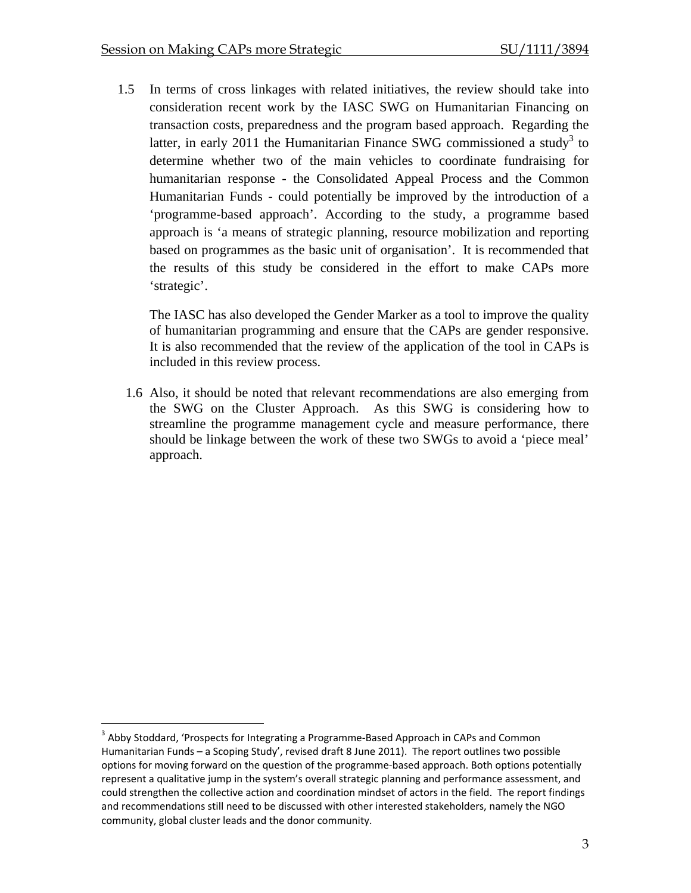1.5 In terms of cross linkages with related initiatives, the review should take into consideration recent work by the IASC SWG on Humanitarian Financing on transaction costs, preparedness and the program based approach. Regarding the latter, in early 2011 the Humanitarian Finance SWG commissioned a study<sup>3</sup> to determine whether two of the main vehicles to coordinate fundraising for humanitarian response - the Consolidated Appeal Process and the Common Humanitarian Funds - could potentially be improved by the introduction of a 'programme-based approach'. According to the study, a programme based approach is 'a means of strategic planning, resource mobilization and reporting based on programmes as the basic unit of organisation'. It is recommended that the results of this study be considered in the effort to make CAPs more 'strategic'.

The IASC has also developed the Gender Marker as a tool to improve the quality of humanitarian programming and ensure that the CAPs are gender responsive. It is also recommended that the review of the application of the tool in CAPs is included in this review process.

1.6 Also, it should be noted that relevant recommendations are also emerging from the SWG on the Cluster Approach. As this SWG is considering how to streamline the programme management cycle and measure performance, there should be linkage between the work of these two SWGs to avoid a 'piece meal' approach.

<u>.</u>

 $3$  Abby Stoddard, 'Prospects for Integrating a Programme-Based Approach in CAPs and Common Humanitarian Funds – a Scoping Study', revised draft 8 June 2011). The report outlines two possible options for moving forward on the question of the programme‐based approach. Both options potentially represent a qualitative jump in the system's overall strategic planning and performance assessment, and could strengthen the collective action and coordination mindset of actors in the field. The report findings and recommendations still need to be discussed with other interested stakeholders, namely the NGO community, global cluster leads and the donor community.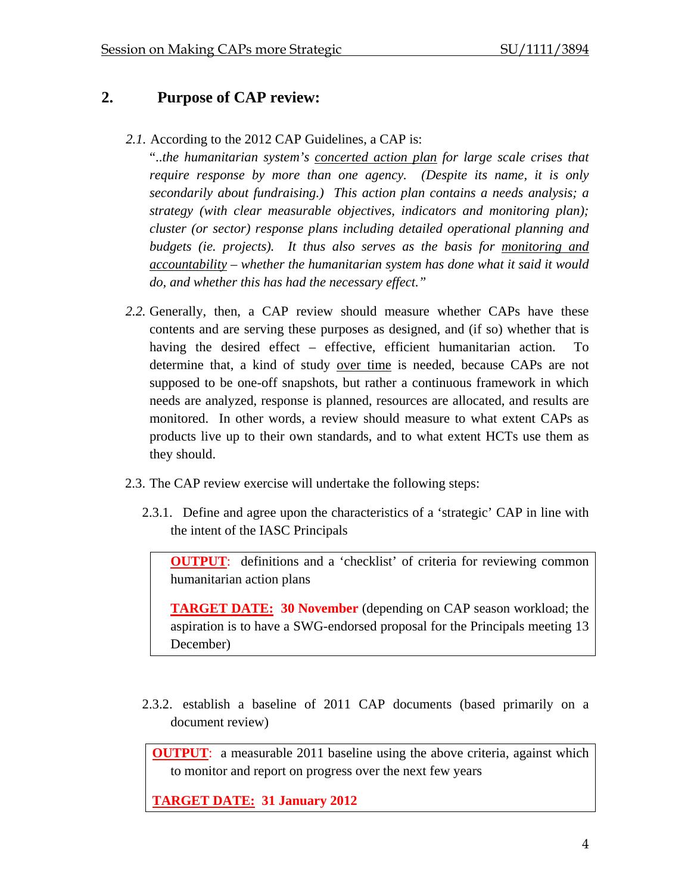## **2. Purpose of CAP review:**

*2.1.* According to the 2012 CAP Guidelines, a CAP is:

"..*the humanitarian system's concerted action plan for large scale crises that require response by more than one agency. (Despite its name, it is only secondarily about fundraising.) This action plan contains a needs analysis; a strategy (with clear measurable objectives, indicators and monitoring plan); cluster (or sector) response plans including detailed operational planning and budgets (ie. projects). It thus also serves as the basis for monitoring and accountability – whether the humanitarian system has done what it said it would do, and whether this has had the necessary effect."* 

- *2.2.* Generally, then, a CAP review should measure whether CAPs have these contents and are serving these purposes as designed, and (if so) whether that is having the desired effect – effective, efficient humanitarian action. determine that, a kind of study over time is needed, because CAPs are not supposed to be one-off snapshots, but rather a continuous framework in which needs are analyzed, response is planned, resources are allocated, and results are monitored. In other words, a review should measure to what extent CAPs as products live up to their own standards, and to what extent HCTs use them as they should.
- 2.3. The CAP review exercise will undertake the following steps:
	- 2.3.1. Define and agree upon the characteristics of a 'strategic' CAP in line with the intent of the IASC Principals

**OUTPUT:** definitions and a 'checklist' of criteria for reviewing common humanitarian action plans

**TARGET DATE: 30 November** (depending on CAP season workload; the aspiration is to have a SWG-endorsed proposal for the Principals meeting 13 December)

2.3.2. establish a baseline of 2011 CAP documents (based primarily on a document review)

**OUTPUT**: a measurable 2011 baseline using the above criteria, against which to monitor and report on progress over the next few years

**TARGET DATE: 31 January 2012**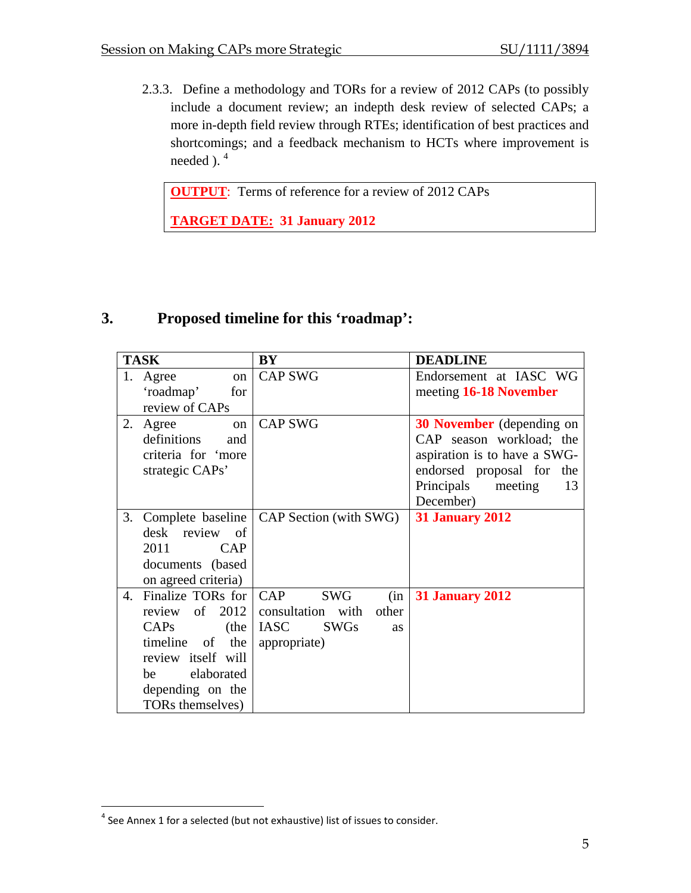2.3.3. Define a methodology and TORs for a review of 2012 CAPs (to possibly include a document review; an indepth desk review of selected CAPs; a more in-depth field review through RTEs; identification of best practices and shortcomings; and a feedback mechanism to HCTs where improvement is needed  $)$ .<sup>4</sup>

**OUTPUT**: Terms of reference for a review of 2012 CAPs

**TARGET DATE: 31 January 2012** 

## **3. Proposed timeline for this 'roadmap':**

| <b>TASK</b> |                         | BY                                         | <b>DEADLINE</b>                  |
|-------------|-------------------------|--------------------------------------------|----------------------------------|
|             | Agree<br><sub>on</sub>  | <b>CAP SWG</b>                             | Endorsement at IASC WG           |
|             | 'roadmap'<br>for        |                                            | meeting 16-18 November           |
|             | review of CAPs          |                                            |                                  |
| 2.          | Agree<br><sub>on</sub>  | <b>CAP SWG</b>                             | <b>30 November</b> (depending on |
|             | definitions<br>and      |                                            | CAP season workload; the         |
|             | criteria for 'more      |                                            | aspiration is to have a SWG-     |
|             | strategic CAPs'         |                                            | endorsed proposal for the        |
|             |                         |                                            | Principals<br>meeting<br>13      |
|             |                         |                                            | December)                        |
| 3.          |                         | Complete baseline   CAP Section (with SWG) | <b>31 January 2012</b>           |
|             | desk review of          |                                            |                                  |
|             | 2011<br>CAP             |                                            |                                  |
|             | documents (based        |                                            |                                  |
|             | on agreed criteria)     |                                            |                                  |
| 4.          | Finalize TORs for   CAP | <b>SWG</b><br>(in                          | <b>31 January 2012</b>           |
|             | review of $2012$        | consultation with<br>other                 |                                  |
|             | CAPs<br>(the            | IASC<br><b>SWGs</b><br><b>as</b>           |                                  |
|             | timeline of<br>the      | appropriate)                               |                                  |
|             | review itself will      |                                            |                                  |
|             | elaborated<br>be        |                                            |                                  |
|             | depending on the        |                                            |                                  |
|             | TORs themselves)        |                                            |                                  |

 $\overline{a}$ 

 $4$  See Annex 1 for a selected (but not exhaustive) list of issues to consider.